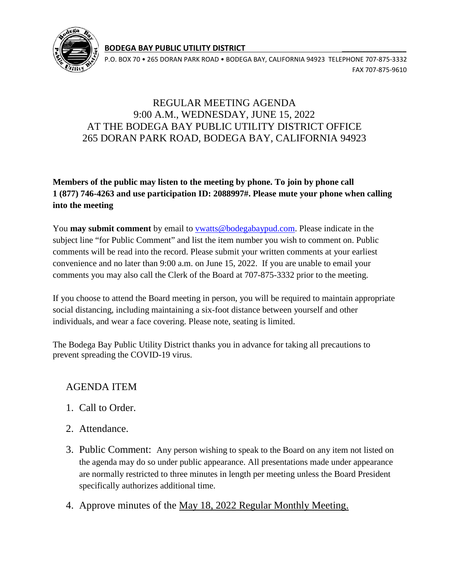

**BODEGA BAY PUBLIC UTILITY DISTRICT \_\_\_\_\_\_\_\_\_\_\_\_\_\_\_\_** 

P.O. BOX 70 • 265 DORAN PARK ROAD • BODEGA BAY, CALIFORNIA 94923 TELEPHONE 707-875-3332 FAX 707-875-9610

## REGULAR MEETING AGENDA 9:00 A.M., WEDNESDAY, JUNE 15, 2022 AT THE BODEGA BAY PUBLIC UTILITY DISTRICT OFFICE 265 DORAN PARK ROAD, BODEGA BAY, CALIFORNIA 94923

## **Members of the public may listen to the meeting by phone. To join by phone call 1 (877) 746-4263 and use participation ID: 2088997#. Please mute your phone when calling into the meeting**

You **may submit comment** by email to [vwatts@bodegabaypud.com.](mailto:vwatts@bodegabaypud.com) Please indicate in the subject line "for Public Comment" and list the item number you wish to comment on. Public comments will be read into the record. Please submit your written comments at your earliest convenience and no later than 9:00 a.m. on June 15, 2022. If you are unable to email your comments you may also call the Clerk of the Board at 707-875-3332 prior to the meeting.

If you choose to attend the Board meeting in person, you will be required to maintain appropriate social distancing, including maintaining a six-foot distance between yourself and other individuals, and wear a face covering. Please note, seating is limited.

The Bodega Bay Public Utility District thanks you in advance for taking all precautions to prevent spreading the COVID-19 virus.

## AGENDA ITEM

- 1. Call to Order.
- 2. Attendance.
- 3. Public Comment: Any person wishing to speak to the Board on any item not listed on the agenda may do so under public appearance. All presentations made under appearance are normally restricted to three minutes in length per meeting unless the Board President specifically authorizes additional time.
- 4. Approve minutes of the May 18, 2022 Regular Monthly Meeting.